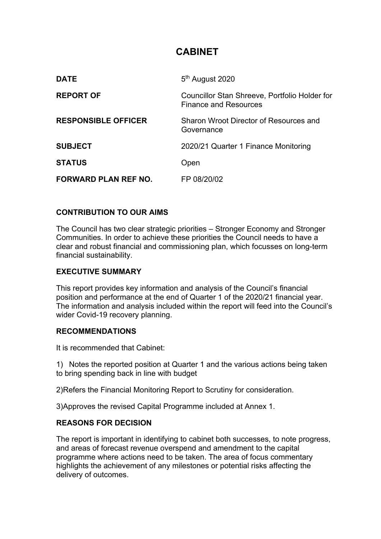## **CABINET**

| <b>DATE</b>                 | 5 <sup>th</sup> August 2020                                                   |
|-----------------------------|-------------------------------------------------------------------------------|
| <b>REPORT OF</b>            | Councillor Stan Shreeve, Portfolio Holder for<br><b>Finance and Resources</b> |
| <b>RESPONSIBLE OFFICER</b>  | Sharon Wroot Director of Resources and<br>Governance                          |
| <b>SUBJECT</b>              | 2020/21 Quarter 1 Finance Monitoring                                          |
| <b>STATUS</b>               | Open                                                                          |
| <b>FORWARD PLAN REF NO.</b> | FP 08/20/02                                                                   |

## **CONTRIBUTION TO OUR AIMS**

The Council has two clear strategic priorities – Stronger Economy and Stronger Communities. In order to achieve these priorities the Council needs to have a clear and robust financial and commissioning plan, which focusses on long-term financial sustainability.

#### **EXECUTIVE SUMMARY**

This report provides key information and analysis of the Council's financial position and performance at the end of Quarter 1 of the 2020/21 financial year. The information and analysis included within the report will feed into the Council's wider Covid-19 recovery planning.

## **RECOMMENDATIONS**

It is recommended that Cabinet:

1) Notes the reported position at Quarter 1 and the various actions being taken to bring spending back in line with budget

2)Refers the Financial Monitoring Report to Scrutiny for consideration.

3)Approves the revised Capital Programme included at Annex 1.

## **REASONS FOR DECISION**

The report is important in identifying to cabinet both successes, to note progress, and areas of forecast revenue overspend and amendment to the capital programme where actions need to be taken. The area of focus commentary highlights the achievement of any milestones or potential risks affecting the delivery of outcomes.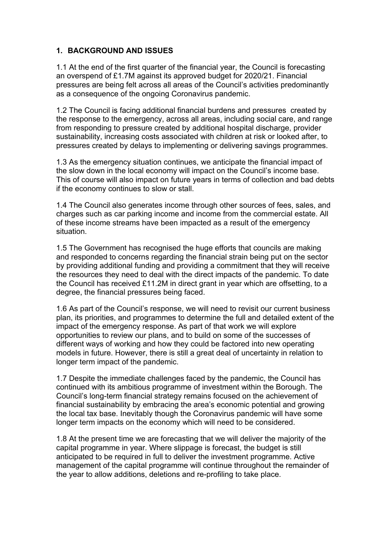## **1. BACKGROUND AND ISSUES**

1.1 At the end of the first quarter of the financial year, the Council is forecasting an overspend of £1.7M against its approved budget for 2020/21. Financial pressures are being felt across all areas of the Council's activities predominantly as a consequence of the ongoing Coronavirus pandemic.

1.2 The Council is facing additional financial burdens and pressures created by the response to the emergency, across all areas, including social care, and range from responding to pressure created by additional hospital discharge, provider sustainability, increasing costs associated with children at risk or looked after, to pressures created by delays to implementing or delivering savings programmes.

1.3 As the emergency situation continues, we anticipate the financial impact of the slow down in the local economy will impact on the Council's income base. This of course will also impact on future years in terms of collection and bad debts if the economy continues to slow or stall.

1.4 The Council also generates income through other sources of fees, sales, and charges such as car parking income and income from the commercial estate. All of these income streams have been impacted as a result of the emergency situation.

1.5 The Government has recognised the huge efforts that councils are making and responded to concerns regarding the financial strain being put on the sector by providing additional funding and providing a commitment that they will receive the resources they need to deal with the direct impacts of the pandemic. To date the Council has received £11.2M in direct grant in year which are offsetting, to a degree, the financial pressures being faced.

1.6 As part of the Council's response, we will need to revisit our current business plan, its priorities, and programmes to determine the full and detailed extent of the impact of the emergency response. As part of that work we will explore opportunities to review our plans, and to build on some of the successes of different ways of working and how they could be factored into new operating models in future. However, there is still a great deal of uncertainty in relation to longer term impact of the pandemic.

1.7 Despite the immediate challenges faced by the pandemic, the Council has continued with its ambitious programme of investment within the Borough. The Council's long-term financial strategy remains focused on the achievement of financial sustainability by embracing the area's economic potential and growing the local tax base. Inevitably though the Coronavirus pandemic will have some longer term impacts on the economy which will need to be considered.

1.8 At the present time we are forecasting that we will deliver the majority of the capital programme in year. Where slippage is forecast, the budget is still anticipated to be required in full to deliver the investment programme. Active management of the capital programme will continue throughout the remainder of the year to allow additions, deletions and re-profiling to take place.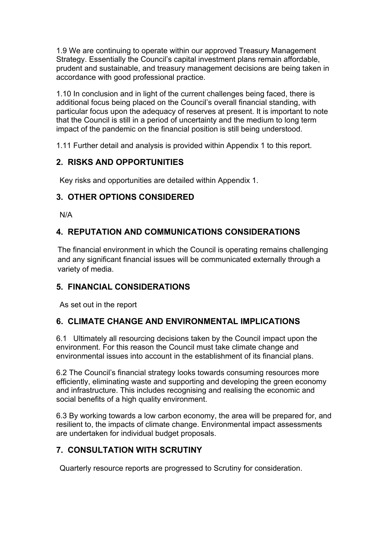1.9 We are continuing to operate within our approved Treasury Management Strategy. Essentially the Council's capital investment plans remain affordable, prudent and sustainable, and treasury management decisions are being taken in accordance with good professional practice.

1.10 In conclusion and in light of the current challenges being faced, there is additional focus being placed on the Council's overall financial standing, with particular focus upon the adequacy of reserves at present. It is important to note that the Council is still in a period of uncertainty and the medium to long term impact of the pandemic on the financial position is still being understood.

1.11 Further detail and analysis is provided within Appendix 1 to this report.

## **2. RISKS AND OPPORTUNITIES**

Key risks and opportunities are detailed within Appendix 1.

## **3. OTHER OPTIONS CONSIDERED**

N/A

## **4. REPUTATION AND COMMUNICATIONS CONSIDERATIONS**

The financial environment in which the Council is operating remains challenging and any significant financial issues will be communicated externally through a variety of media.

## **5. FINANCIAL CONSIDERATIONS**

As set out in the report

## **6. CLIMATE CHANGE AND ENVIRONMENTAL IMPLICATIONS**

6.1 Ultimately all resourcing decisions taken by the Council impact upon the environment. For this reason the Council must take climate change and environmental issues into account in the establishment of its financial plans.

6.2 The Council's financial strategy looks towards consuming resources more efficiently, eliminating waste and supporting and developing the green economy and infrastructure. This includes recognising and realising the economic and social benefits of a high quality environment.

6.3 By working towards a low carbon economy, the area will be prepared for, and resilient to, the impacts of climate change. Environmental impact assessments are undertaken for individual budget proposals.

## **7. CONSULTATION WITH SCRUTINY**

Quarterly resource reports are progressed to Scrutiny for consideration.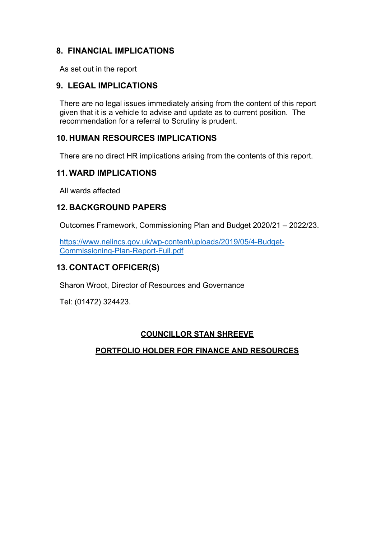## **8. FINANCIAL IMPLICATIONS**

As set out in the report

## **9. LEGAL IMPLICATIONS**

There are no legal issues immediately arising from the content of this report given that it is a vehicle to advise and update as to current position. The recommendation for a referral to Scrutiny is prudent.

## **10. HUMAN RESOURCES IMPLICATIONS**

There are no direct HR implications arising from the contents of this report.

## **11. WARD IMPLICATIONS**

All wards affected

## **12. BACKGROUND PAPERS**

Outcomes Framework, Commissioning Plan and Budget 2020/21 – 2022/23.

https://www.nelincs.gov.uk/wp-content/uploads/2019/05/4-Budget-Commissioning-Plan-Report-Full.pdf

## **13. CONTACT OFFICER(S)**

Sharon Wroot, Director of Resources and Governance

Tel: (01472) 324423.

## **COUNCILLOR STAN SHREEVE**

## **PORTFOLIO HOLDER FOR FINANCE AND RESOURCES**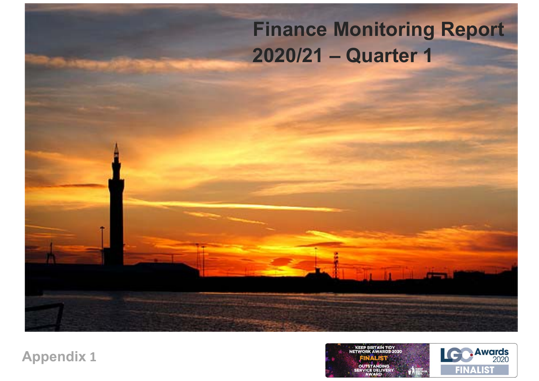# **2020/21 – Quarter 1 Finance Monitoring Report**

**Appendix <sup>1</sup>**

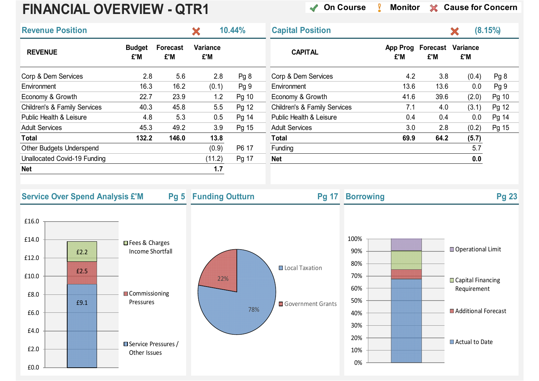# **FINANCIAL OVERVIEW - QTR1**

◆ On Course **}** Monitor  $\angle$  Cause for Concern

| <b>Revenue Position</b>                                                          |                                                                                           |                        | X               | 10.44% | <b>Capital Position</b>                 |                                                              |      |                          | X                                                                                                | (8.15%) |
|----------------------------------------------------------------------------------|-------------------------------------------------------------------------------------------|------------------------|-----------------|--------|-----------------------------------------|--------------------------------------------------------------|------|--------------------------|--------------------------------------------------------------------------------------------------|---------|
| <b>REVENUE</b>                                                                   | <b>Budget</b><br>£'M                                                                      | <b>Forecast</b><br>£'M | Variance<br>£'M |        | <b>CAPITAL</b>                          |                                                              | £'M  | App Prog Forecast<br>£'M | Variance<br>£'M                                                                                  |         |
| Corp & Dem Services                                                              | 2.8                                                                                       | 5.6                    | 2.8             | $Pg_8$ | Corp & Dem Services                     |                                                              | 4.2  | 3.8                      | (0.4)                                                                                            | Pg 8    |
| Environment                                                                      | 16.3                                                                                      | 16.2                   | (0.1)           | Pg 9   | Environment                             |                                                              | 13.6 | 13.6                     | 0.0                                                                                              | Pg 9    |
| Economy & Growth                                                                 | 22.7                                                                                      | 23.9                   | 1.2             | Pg 10  | Economy & Growth                        |                                                              | 41.6 | 39.6                     | (2.0)                                                                                            | Pg 10   |
| <b>Children's &amp; Family Services</b>                                          | 40.3                                                                                      | 45.8                   | 5.5             | Pg 12  | <b>Children's &amp; Family Services</b> |                                                              | 7.1  | 4.0                      | (3.1)                                                                                            | Pg 12   |
| Public Health & Leisure                                                          | 4.8                                                                                       | 5.3                    | 0.5             | Pg 14  | Public Health & Leisure                 |                                                              | 0.4  | 0.4                      | 0.0                                                                                              | Pg 14   |
| <b>Adult Services</b>                                                            | 45.3                                                                                      | 49.2                   | 3.9             | Pg 15  | <b>Adult Services</b>                   |                                                              | 3.0  | 2.8                      | (0.2)                                                                                            | Pg 15   |
| <b>Total</b>                                                                     | 132.2                                                                                     | 146.0                  | 13.8            |        | <b>Total</b>                            |                                                              | 69.9 | 64.2                     | (5.7)                                                                                            |         |
| Other Budgets Underspend                                                         |                                                                                           |                        | (0.9)           | P6 17  | Funding                                 |                                                              |      |                          | 5.7                                                                                              |         |
| Unallocated Covid-19 Funding                                                     |                                                                                           |                        | (11.2)          | Pg 17  | <b>Net</b>                              |                                                              |      |                          | 0.0                                                                                              |         |
| <b>Net</b>                                                                       |                                                                                           |                        | 1.7             |        |                                         |                                                              |      |                          |                                                                                                  |         |
| £16.0<br>£14.0<br>£2.2<br>£12.0<br>£2.5<br>£10.0<br>£8.0<br>£9.1<br>£6.0<br>£4.0 | □ Fees & Charges<br>Income Shortfall<br>Commissioning<br>Pressures<br>Service Pressures / |                        | 22%             | 78%    | Local Taxation<br>Government Grants     | 100%<br>90%<br>80%<br>70%<br>60%<br>50%<br>40%<br>30%<br>20% |      |                          | Operational Limit<br>□ Capital Financing<br>Requirement<br>Additional Forecast<br>Actual to Date |         |
| £2.0<br>£0.0                                                                     | Other Issues                                                                              |                        |                 |        |                                         | 10%<br>0%                                                    |      |                          |                                                                                                  |         |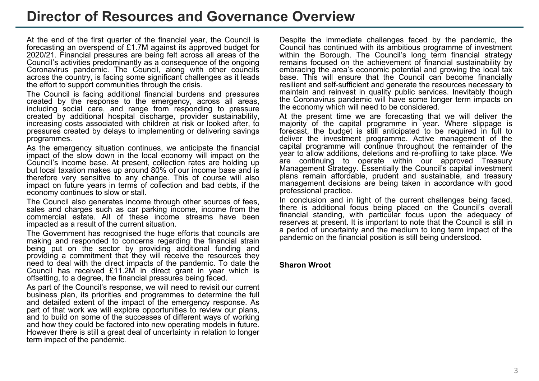# **Director of Resources and Governance Overview**

At the end of the first quarter of the financial year, the Council is forecasting an overspend of £1.7M against its approved budget for 2020/21. Financial pressures are being felt across all areas of the Council's activities predominantly as <sup>a</sup> consequence of the ongoing Coronavirus pandemic. The Council, along with other councils across the country, is facing some significant challenges as it leads the effort to support communities through the crisis.

The Council is facing additional financial burdens and pressures created by the response to the emergency, across all areas, including social care, and range from responding to pressure created by additional hospital discharge, provider sustainability, increasing costs associated with children at risk or looked after, to pressures created by delays to implementing or delivering savings programmes.

As the emergency situation continues, we anticipate the financial impact of the slow down in the local economy will impact on the Council's income base. At present, collection rates are holding up but local taxation makes up around 80% of our income base and is therefore very sensitive to any change. This of course will also impact on future years in terms of collection and bad debts, if the economy continues to slow or stall.

The Council also generates income through other sources of fees, sales and charges such as car parking income, income from the commercial estate. All of these income streams have been impacted as <sup>a</sup> result of the current situation.

The Government has recognised the huge efforts that councils are making and responded to concerns regarding the financial strain being put on the sector by providing additional funding and providing <sup>a</sup> commitment that they will receive the resources they need to deal with the direct impacts of the pandemic. To date the Council has received £11.2M in direct grant in year which is offsetting, to <sup>a</sup> degree, the financial pressures being faced.

As part of the Council's response, we will need to revisit our current business plan, its priorities and programmes to determine the full and detailed extent of the impact of the emergency response. As part of that work we will explore opportunities to review our plans, and to build on some of the successes of different ways of working and how they could be factored into new operating models in future. However there is still <sup>a</sup> great deal of uncertainty in relation to longer term impact of the pandemic.

Despite the immediate challenges faced by the pandemic, the Council has continued with its ambitious programme of investment within the Borough. The Council's long term financial strategy remains focused on the achievement of financial sustainability by embracing the area's economic potential and growing the local tax base. This will ensure that the Council can become financially resilient and self-sufficient and generate the resources necessary to maintain and reinvest in quality public services. Inevitably though the Coronavirus pandemic will have some longer term impacts on the economy which will need to be considered.

At the present time we are forecasting that we will deliver the majority of the capital programme in year. Where slippage is forecast, the budget is still anticipated to be required in full to deliver the investment programme. Active management of the capital programme will continue throughout the remainder of the year to allow additions, deletions and re-profiling to take place. We are continuing to operate within our approved Treasury Management Strategy. Essentially the Council's capital investment plans remain affordable, prudent and sustainable, and treasury management decisions are being taken in accordance with good professional practice.

In conclusion and in light of the current challenges being faced, there is additional focus being placed on the Council's overall financial standing, with particular focus upon the adequacy of reserves at present. It is important to note that the Council is still in <sup>a</sup> period of uncertainty and the medium to long term impact of the pandemic on the financial position is still being understood.

#### **Sharon Wroot**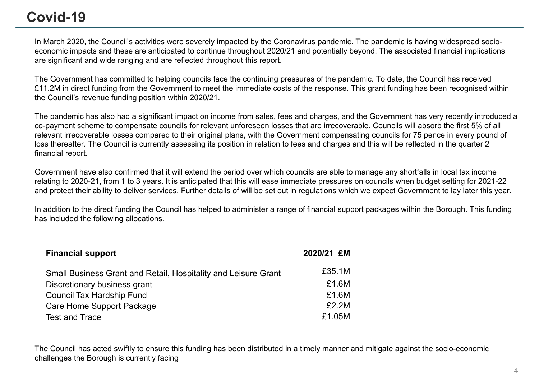# **Covid-19**

In March 2020, the Council's activities were severely impacted by the Coronavirus pandemic. The pandemic is having widespread socioeconomic impacts and these are anticipated to continue throughout 2020/21 and potentially beyond. The associated financial implications are significant and wide ranging and are reflected throughout this report.

The Government has committed to helping councils face the continuing pressures of the pandemic. To date, the Council has received £11.2M in direct funding from the Government to meet the immediate costs of the response. This grant funding has been recognised within the Council's revenue funding position within 2020/21.

The pandemic has also had a significant impact on income from sales, fees and charges, and the Government has very recently introduced a co-payment scheme to compensate councils for relevant unforeseen losses that are irrecoverable. Councils will absorb the first 5% of all relevant irrecoverable losses compared to their original plans, with the Government compensating councils for 75 pence in every pound of loss thereafter. The Council is currently assessing its position in relation to fees and charges and this will be reflected in the quarter 2 financial report.

Government have also confirmed that it will extend the period over which councils are able to manage any shortfalls in local tax income relating to 2020-21, from 1 to 3 years. It is anticipated that this will ease immediate pressures on councils when budget setting for 2021-22 and protect their ability to deliver services. Further details of will be set out in regulations which we expect Government to lay later this year.

In addition to the direct funding the Council has helped to administer a range of financial support packages within the Borough. This funding has included the following allocations.

| £35.1M |            |
|--------|------------|
|        | £1.6M      |
|        | £1.6M      |
|        | £2.2M      |
| £1.05M |            |
|        | 2020/21 £M |

The Council has acted swiftly to ensure this funding has been distributed in a timely manner and mitigate against the socio-economic challenges the Borough is currently facing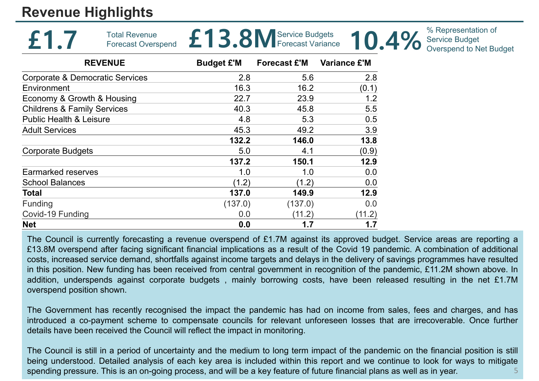# **Revenue Highlights**

|                                        | <b>Total Revenue</b><br><b>Forecast Overspend</b> | £13.8M Service Budgets 10.4% |                     |                     | % Representation of<br><b>Service Budget</b><br><b>Overspend to Net Budget</b> |
|----------------------------------------|---------------------------------------------------|------------------------------|---------------------|---------------------|--------------------------------------------------------------------------------|
|                                        | <b>REVENUE</b>                                    | <b>Budget £'M</b>            | <b>Forecast £'M</b> | <b>Variance £'M</b> |                                                                                |
| Corporate & Democratic Services        |                                                   | 2.8                          | 5.6                 | 2.8                 |                                                                                |
| Environment                            |                                                   | 16.3                         | 16.2                | (0.1)               |                                                                                |
| Economy & Growth & Housing             |                                                   | 22.7                         | 23.9                | 1.2                 |                                                                                |
| <b>Childrens &amp; Family Services</b> |                                                   | 40.3                         | 45.8                | 5.5                 |                                                                                |
| <b>Public Health &amp; Leisure</b>     |                                                   | 4.8                          | 5.3                 | 0.5                 |                                                                                |
| <b>Adult Services</b>                  |                                                   | 45.3                         | 49.2                | 3.9                 |                                                                                |
|                                        |                                                   | 132.2                        | 146.0               | 13.8                |                                                                                |
| <b>Corporate Budgets</b>               |                                                   | 5.0                          | 4.1                 | (0.9)               |                                                                                |
|                                        |                                                   | 137.2                        | 150.1               | 12.9                |                                                                                |
| Earmarked reserves                     |                                                   | 1.0                          | 1.0                 | 0.0                 |                                                                                |
| <b>School Balances</b>                 |                                                   | (1.2)                        | (1.2)               | 0.0                 |                                                                                |
| <b>Total</b>                           |                                                   | 137.0                        | 149.9               | 12.9                |                                                                                |
| <b>Funding</b>                         |                                                   | (137.0)                      | (137.0)             | 0.0                 |                                                                                |
| Covid-19 Funding                       |                                                   | 0.0                          | (11.2)              | (11.2)              |                                                                                |
| <b>Net</b>                             |                                                   | 0.0                          | 1.7                 | 1.7                 |                                                                                |

The Council is currently forecasting <sup>a</sup> revenue overspend of £1.7M against its approved budget. Service areas are reporting <sup>a</sup> £13.8M overspend after facing significant financial implications as <sup>a</sup> result of the Covid 19 pandemic. A combination of additional costs, increased service demand, shortfalls against income targets and delays in the delivery of savings programmes have resulted in this position. New funding has been received from central government in recognition of the pandemic, £11.2M shown above. In addition, underspends against corporate budgets , mainly borrowing costs, have been released resulting in the net £1.7M overspend position shown.

The Government has recently recognised the impact the pandemic has had on income from sales, fees and charges, and has introduced <sup>a</sup> co-payment scheme to compensate councils for relevant unforeseen losses that are irrecoverable. Once further details have been received the Council will reflect the impact in monitoring.

The Council is still in <sup>a</sup> period of uncertainty and the medium to long term impact of the pandemic on the financial position is still being understood. Detailed analysis of each key area is included within this report and we continue to look for ways to mitigate spending pressure. This is an on-going process, and will be <sup>a</sup> key feature of future financial plans as well as in year. 5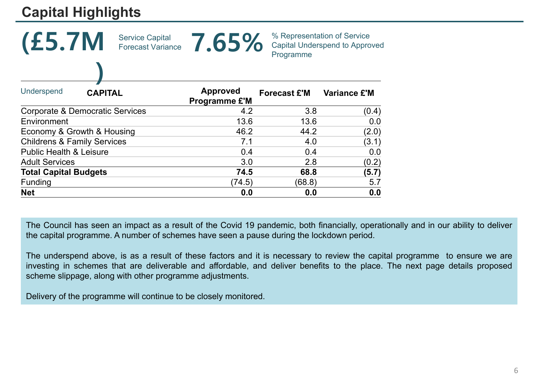# **Capital Highlights**

| <b>(£5.7M</b><br><b>Service Capital</b><br><b>Forecast Variance</b> | 7.65%                                   | Programme           | % Representation of Service<br><b>Capital Underspend to Approved</b> |
|---------------------------------------------------------------------|-----------------------------------------|---------------------|----------------------------------------------------------------------|
| <b>Underspend</b><br><b>CAPITAL</b>                                 | <b>Approved</b><br><b>Programme £'M</b> | <b>Forecast £'M</b> | <b>Variance £'M</b>                                                  |
| Corporate & Democratic Services                                     | 4.2                                     | 3.8                 | (0.4)                                                                |
| Environment                                                         | 13.6                                    | 13.6                | 0.0                                                                  |
| Economy & Growth & Housing                                          | 46.2                                    | 44.2                | (2.0)                                                                |
| <b>Childrens &amp; Family Services</b>                              | 7.1                                     | 4.0                 | (3.1)                                                                |
| <b>Public Health &amp; Leisure</b>                                  | 0.4                                     | 0.4                 | 0.0                                                                  |
| <b>Adult Services</b>                                               | 3.0                                     | 2.8                 | (0.2)                                                                |
| <b>Total Capital Budgets</b>                                        | 74.5                                    | 68.8                | (5.7)                                                                |
| <b>Funding</b>                                                      | (74.5)                                  | (68.8)              | 5.7                                                                  |
| <b>Net</b>                                                          | 0.0                                     | 0.0                 | 0.0                                                                  |

The Council has seen an impact as <sup>a</sup> result of the Covid 19 pandemic, both financially, operationally and in our ability to deliver the capital programme. A number of schemes have seen <sup>a</sup> pause during the lockdown period.

The underspend above, is as <sup>a</sup> result of these factors and it is necessary to review the capital programme to ensure we are investing in schemes that are deliverable and affordable, and deliver benefits to the place. The next page details proposed scheme slippage, along with other programme adjustments.

Delivery of the programme will continue to be closely monitored.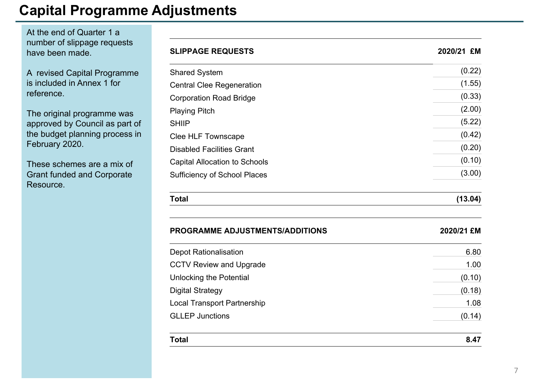# **Capital Programme Adjustments**

At the end of Quarter 1 a number of slippage requests have been made.

A revised Capital Programme is included in Annex 1 for reference.

The original programme was approved by Council as part of the budget planning process in February 2020.

These schemes are a mix of Grant funded and Corporate Resource.

| <b>SLIPPAGE REQUESTS</b>               | 2020/21 £M |
|----------------------------------------|------------|
| <b>Shared System</b>                   | (0.22)     |
| <b>Central Clee Regeneration</b>       | (1.55)     |
| <b>Corporation Road Bridge</b>         | (0.33)     |
| <b>Playing Pitch</b>                   | (2.00)     |
| <b>SHIIP</b>                           | (5.22)     |
| <b>Clee HLF Townscape</b>              | (0.42)     |
| <b>Disabled Facilities Grant</b>       | (0.20)     |
| <b>Capital Allocation to Schools</b>   | (0.10)     |
| <b>Sufficiency of School Places</b>    | (3.00)     |
| <b>Total</b>                           | (13.04)    |
| <b>PROGRAMME ADJUSTMENTS/ADDITIONS</b> | 2020/21 £M |
| <b>Depot Rationalisation</b>           | 6.80       |
| <b>CCTV Review and Upgrade</b>         | 1.00       |
| <b>Unlocking the Potential</b>         | (0.10)     |
| <b>Digital Strategy</b>                | (0.18)     |
| <b>Local Transport Partnership</b>     | 1.08       |
| <b>GLLEP Junctions</b>                 | (0.14)     |
| Total                                  | 8.47       |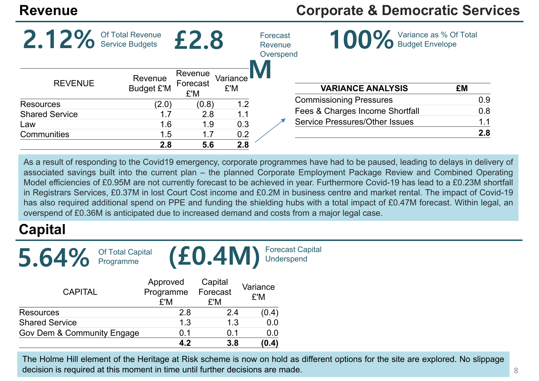# **Corporate & Democratic Services**

|                       | Of Total Revenue<br><b>Service Budgets</b> |                            |                 | Forecast<br><b>Revenue</b><br>Overspend | <b>O</b> Budget Envelope              | Variance as % Of Total |
|-----------------------|--------------------------------------------|----------------------------|-----------------|-----------------------------------------|---------------------------------------|------------------------|
| <b>REVENUE</b>        | Revenue<br><b>Budget £'M</b>               | Revenue<br>Forecast<br>£'M | Variance<br>£'M |                                         | <b>VARIANCE ANALYSIS</b>              | £M                     |
| <b>Resources</b>      | (2.0)                                      | (0.8)                      | 1.2             |                                         | <b>Commissioning Pressures</b>        | 0.9                    |
| <b>Shared Service</b> | 1.7                                        | 2.8                        | 1.1             |                                         | Fees & Charges Income Shortfall       | 0.8                    |
| Law                   | 1.6                                        | 1.9                        | 0.3             |                                         | <b>Service Pressures/Other Issues</b> | 1.1                    |
| <b>Communities</b>    | 1.5                                        | 1.7                        | 0.2             |                                         |                                       | 2.8                    |
|                       | 2.8                                        | 5.6                        | 2.8             |                                         |                                       |                        |

As <sup>a</sup> result of responding to the Covid19 emergency, corporate programmes have had to be paused, leading to delays in delivery of associated savings built into the current plan – the planned Corporate Employment Package Review and Combined Operating Model efficiencies of £0.95M are not currently forecast to be achieved in year. Furthermore Covid-19 has lead to <sup>a</sup> £0.23M shortfall in Registrars Services, £0.37M in lost Court Cost income and £0.2M in business centre and market rental. The impact of Covid-19 has also required additional spend on PPE and funding the shielding hubs with <sup>a</sup> total impact of £0.47M forecast. Within legal, an overspend of £0.36M is anticipated due to increased demand and costs from <sup>a</sup> major legal case.

# **Capital**



| <b>CAPITAL</b>             | Approved<br>Programme<br>£'M | Capital<br>Forecast<br>£'M | Variance<br>£'M |
|----------------------------|------------------------------|----------------------------|-----------------|
| <b>Resources</b>           | 2.8                          | 2.4                        | (0.4)           |
| <b>Shared Service</b>      | 1.3                          | 1.3                        | 0.0             |
| Gov Dem & Community Engage | 0.1                          | 0.1                        | 0.0             |
|                            | A 9                          | 3.8                        | (0.4)           |

The Holme Hill element of the Heritage at Risk scheme is now on hold as different options for the site are explored. No slippage decision is required at this moment in time until further decisions are made.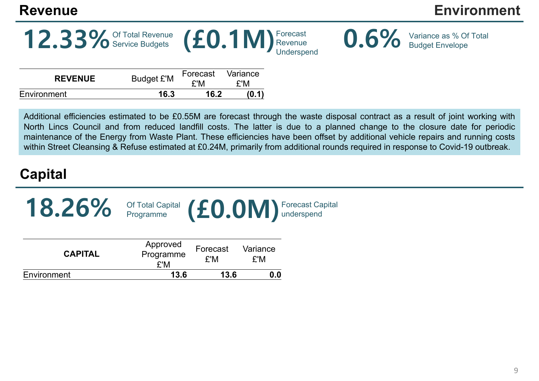# **Environment**

**0.6%**

# 12.33% Of Total Revenue (£0.1M)<sup>Forecast</sup> 0.6% Variance as % Of Total Revenue Service Budget Envelope





Additional efficiencies estimated to be £0.55M are forecast through the waste disposal contract as <sup>a</sup> result of joint working with North Lincs Council and from reduced landfill costs. The latter is due to <sup>a</sup> planned change to the closure date for periodic maintenance of the Energy from Waste Plant. These efficiencies have been offset by additional vehicle repairs and running costs within Street Cleansing & Refuse estimated at £0.24M, primarily from additional rounds required in response to Covid-19 outbreak.

# **Capital**

| 18.26%         | Of Total Capital (£0.0M) Forecast Capital |                 |                 |  |
|----------------|-------------------------------------------|-----------------|-----------------|--|
| <b>CAPITAL</b> | Approved<br>Programme<br>£'M              | Forecast<br>£'M | Variance<br>£'M |  |
| Environment    | 13.6                                      | 13.6            | 0.0             |  |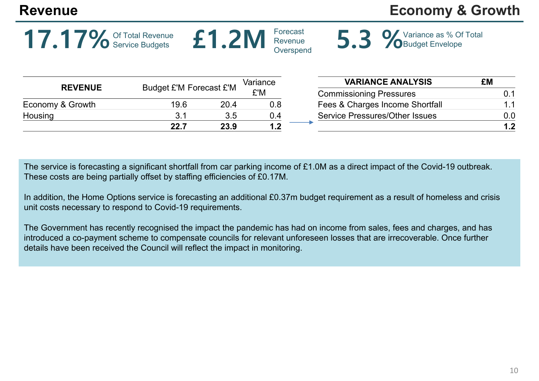**17.17%** Of Total Revenue

# **Economy & Growth**

**REVENUE**Budget £'M Forecast £'M Variance Economy & Growth 19.6 20.4 0.8 Housing 3.1 3.5 0.4 **22.7 23.9 1.2**

| <b>VARIANCE ANALYSIS</b>              | £М  |
|---------------------------------------|-----|
| <b>Commissioning Pressures</b>        | በ 1 |
| Fees & Charges Income Shortfall       | 11  |
| <b>Service Pressures/Other Issues</b> | n n |
|                                       | 12  |

**5.3 %**Variance as % Of Total **£1.2M**

The service is forecasting a significant shortfall from car parking income of £1.0M as a direct impact of the Covid-19 outbreak. These costs are being partially offset by staffing efficiencies of £0.17M.

In addition, the Home Options service is forecasting an additional £0.37m budget requirement as a result of homeless and crisis unit costs necessary to respond to Covid-19 requirements.

The Government has recently recognised the impact the pandemic has had on income from sales, fees and charges, and has introduced a co-payment scheme to compensate councils for relevant unforeseen losses that are irrecoverable. Once further details have been received the Council will reflect the impact in monitoring.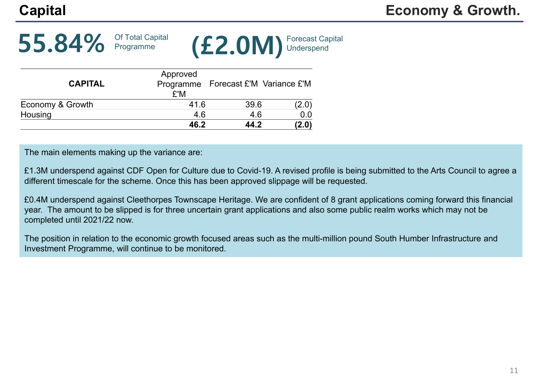



| <b>CAPITAL</b>   | Approved<br>£'M | Programme Forecast £'M Variance £'M |       |  |
|------------------|-----------------|-------------------------------------|-------|--|
| Economy & Growth | 41.6            | 39.6                                | (2.0) |  |
| Housing          | 4.6             | 4.6                                 | 0.0   |  |
|                  | 46.2            | 44.2                                | (2.0) |  |

The main elements making up the variance are:

£1.3M underspend against CDF Open for Culture due to Covid-19. A revised profile is being submitted to the Arts Council to agree <sup>a</sup> different timescale for the scheme. Once this has been approved slippage will be requested.

£0.4M underspend against Cleethorpes Townscape Heritage. We are confident of 8 grant applications coming forward this financial year. The amount to be slipped is for three uncertain grant applications and also some public realm works which may not be completed until 2021/22 now.

The position in relation to the economic growth focused areas such as the multi-million pound South Humber Infrastructure and Investment Programme, will continue to be monitored.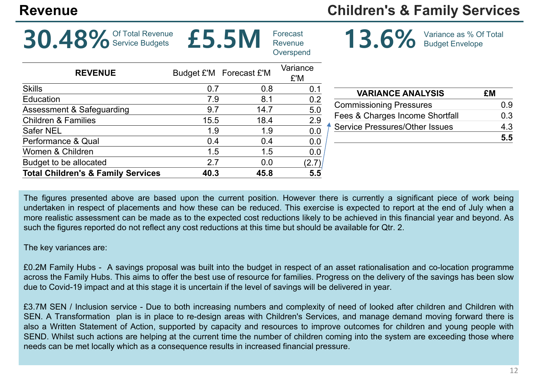# **Children's & Family Services**

| Of Total Revenue<br>30.48% Of Total Revenue   |      | £5.5M                   | Forecast<br>Revenue<br>Overspend | 13.6%<br>Variance as % Of Total<br><b>Budget Envelope</b> |    |
|-----------------------------------------------|------|-------------------------|----------------------------------|-----------------------------------------------------------|----|
| <b>REVENUE</b>                                |      | Budget £'M Forecast £'M | Variance<br>£'M                  |                                                           |    |
| <b>Skills</b>                                 | 0.7  | 0.8                     | 0.1                              | <b>VARIANCE ANALYSIS</b>                                  | £M |
| Education                                     | 7.9  | 8.1                     | 0.2                              |                                                           |    |
| Assessment & Safeguarding                     | 9.7  | 14.7                    | 5.0                              | <b>Commissioning Pressures</b>                            |    |
| <b>Children &amp; Families</b>                | 15.5 | 18.4                    | 2.9                              | Fees & Charges Income Shortfall                           | 0  |
| <b>Safer NEL</b>                              | 1.9  | 1.9                     | 0.0                              | <b>Service Pressures/Other Issues</b>                     | 4  |
| Performance & Qual                            | 0.4  | 0.4                     | 0.0                              |                                                           |    |
| Women & Children                              | 1.5  | 1.5                     | 0.0                              |                                                           |    |
| Budget to be allocated                        | 2.7  | 0.0                     | (2.7)                            |                                                           |    |
| <b>Total Children's &amp; Family Services</b> | 40.3 | 45.8                    | 5.5                              |                                                           |    |

| <b>VARIANCE ANALYSIS</b>              | £М  |
|---------------------------------------|-----|
| <b>Commissioning Pressures</b>        | 0.9 |
| Fees & Charges Income Shortfall       | 0.3 |
| <b>Service Pressures/Other Issues</b> | 4.3 |
|                                       | 55  |

The figures presented above are based upon the current position. However there is currently <sup>a</sup> significant piece of work being undertaken in respect of placements and how these can be reduced. This exercise is expected to report at the end of July when <sup>a</sup> more realistic assessment can be made as to the expected cost reductions likely to be achieved in this financial year and beyond. As such the figures reported do not reflect any cost reductions at this time but should be available for Qtr. 2.

## The key variances are:

£0.2M Family Hubs - A savings proposal was built into the budget in respect of an asset rationalisation and co-location programme across the Family Hubs. This aims to offer the best use of resource for families. Progress on the delivery of the savings has been slow due to Covid-19 impact and at this stage it is uncertain if the level of savings will be delivered in year.

£3.7M SEN / Inclusion service - Due to both increasing numbers and complexity of need of looked after children and Children with SEN. A Transformation plan is in place to re-design areas with Children's Services, and manage demand moving forward there is also <sup>a</sup> Written Statement of Action, supported by capacity and resources to improve outcomes for children and young people with SEND. Whilst such actions are helping at the current time the number of children coming into the system are exceeding those where needs can be met locally which as <sup>a</sup> consequence results in increased financial pressure.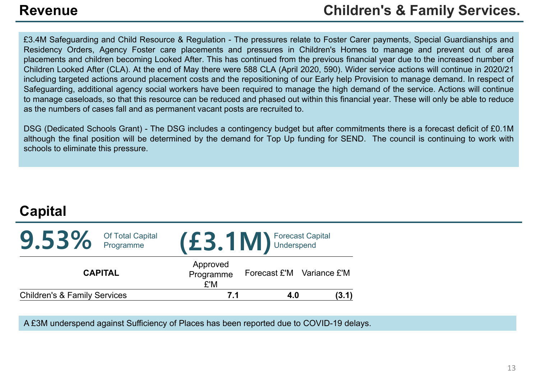£3.4M Safeguarding and Child Resource & Regulation - The pressures relate to Foster Carer payments, Special Guardianships and Residency Orders, Agency Foster care placements and pressures in Children's Homes to manage and prevent out of area placements and children becoming Looked After. This has continued from the previous financial year due to the increased number of Children Looked After (CLA). At the end of May there were 588 CLA (April 2020, 590). Wider service actions will continue in 2020/21 including targeted actions around placement costs and the repositioning of our Early help Provision to manage demand. In respect of Safeguarding, additional agency social workers have been required to manage the high demand of the service. Actions will continue to manage caseloads, so that this resource can be reduced and phased out within this financial year. These will only be able to reduce as the numbers of cases fall and as permanent vacant posts are recruited to.

DSG (Dedicated Schools Grant) - The DSG includes <sup>a</sup> contingency budget but after commitments there is <sup>a</sup> forecast deficit of £0.1M although the final position will be determined by the demand for Top Up funding for SEND. The council is continuing to work with schools to eliminate this pressure.

# **Capital**

| 9.53%                                   | <b>Of Total Capital</b><br>Programme | $(£3.1M)$ Forecast Capital   |                           |       |
|-----------------------------------------|--------------------------------------|------------------------------|---------------------------|-------|
| <b>CAPITAL</b>                          |                                      | Approved<br>Programme<br>£'M | Forecast £'M Variance £'M |       |
| <b>Children's &amp; Family Services</b> |                                      | 7.1                          | 4.0                       | (3.1) |

A £3M underspend against Sufficiency of Places has been reported due to COVID-19 delays.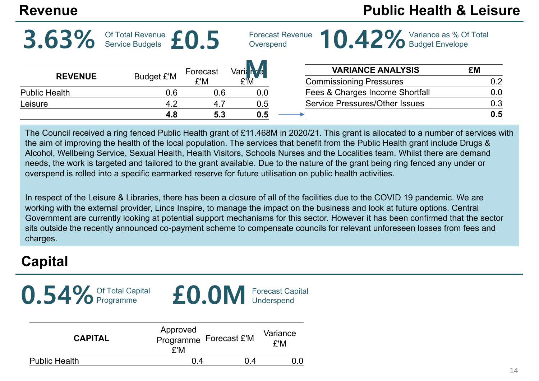|                      | Of Total Revenue<br>Service Budgets |          | Overspend | <b>Forecast Revenue</b><br><b>O</b> Budget Envelope | Variance as % Of Total |
|----------------------|-------------------------------------|----------|-----------|-----------------------------------------------------|------------------------|
| <b>REVENUE</b>       | <b>Budget £'M</b>                   | Forecast | √aril     | <b>VARIANCE ANALYSIS</b>                            | £M                     |
|                      |                                     | £'M      | £'M       | <b>Commissioning Pressures</b>                      | 0.2                    |
| <b>Public Health</b> | 0.6                                 | 0.6      | 0.0       | Fees & Charges Income Shortfall                     | 0.0                    |
| Leisure              | 4.2                                 | 4.7      | 0.5       | <b>Service Pressures/Other Issues</b>               | 0.3                    |
|                      | 4.8                                 | 5.3      | 0.5       |                                                     | 0.5                    |

The Council received a ring fenced Public Health grant of £11.468M in 2020/21. This grant is allocated to a number of services with the aim of improving the health of the local population. The services that benefit from the Public Health grant include Drugs & Alcohol, Wellbeing Service, Sexual Health, Health Visitors, Schools Nurses and the Localities team. Whilst there are demand needs, the work is targeted and tailored to the grant available. Due to the nature of the grant being ring fenced any under or overspend is rolled into a specific earmarked reserve for future utilisation on public health activities.

In respect of the Leisure & Libraries, there has been a closure of all of the facilities due to the COVID 19 pandemic. We are working with the external provider, Lincs Inspire, to manage the impact on the business and look at future options. Central Government are currently looking at potential support mechanisms for this sector. However it has been confirmed that the sector sits outside the recently announced co-payment scheme to compensate councils for relevant unforeseen losses from fees and charges.

# **Capital**



| <b>CAPITAL</b>       | Approved<br>Programme Forecast £'M<br>£'M |     | Variance<br>£'M |
|----------------------|-------------------------------------------|-----|-----------------|
| <b>Public Health</b> | በ 4                                       | በ 4 |                 |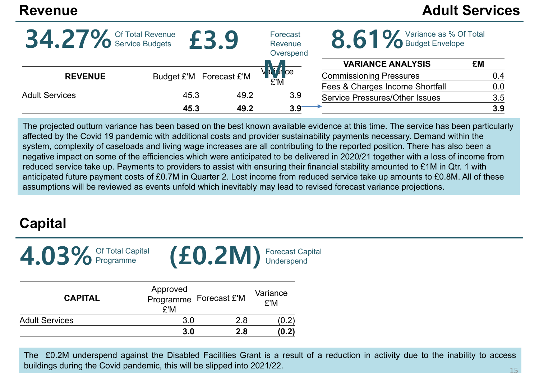# **Revenue Adult Services**

|                       | Of Total Revenue        |      | Forecast<br>Revenue<br>Overspend | Variance as % Of Total<br><b>O</b> Budget Envelope |     |
|-----------------------|-------------------------|------|----------------------------------|----------------------------------------------------|-----|
|                       |                         |      |                                  | <b>VARIANCE ANALYSIS</b>                           | £M  |
| <b>REVENUE</b>        | Budget £'M Forecast £'M |      | Vali <i>I</i> rce                | <b>Commissioning Pressures</b>                     | 0.4 |
|                       |                         |      |                                  | Fees & Charges Income Shortfall                    | 0.0 |
| <b>Adult Services</b> | 45.3                    | 49.2 | 3.9                              | <b>Service Pressures/Other Issues</b>              | 3.5 |
|                       | 45.3                    | 49.2 | 3.9                              |                                                    | 3.9 |

The projected outturn variance has been based on the best known available evidence at this time. The service has been particularly affected by the Covid 19 pandemic with additional costs and provider sustainability payments necessary. Demand within the system, complexity of caseloads and living wage increases are all contributing to the reported position. There has also been a negative impact on some of the efficiencies which were anticipated to be delivered in 2020/21 together with a loss of income from reduced service take up. Payments to providers to assist with ensuring their financial stability amounted to £1M in Qtr. 1 with anticipated future payment costs of £0.7M in Quarter 2. Lost income from reduced service take up amounts to £0.8M. All of these assumptions will be reviewed as events unfold which inevitably may lead to revised forecast variance projections.

# **Capital**



| <b>CAPITAL</b>        | Approved<br>£'M | Programme Forecast £'M | Variance<br>£'M |
|-----------------------|-----------------|------------------------|-----------------|
| <b>Adult Services</b> | 3.0             | 2.8                    | (0.2)           |
|                       | 3.0             | 2.8                    |                 |

The £0.2M underspend against the Disabled Facilities Grant is <sup>a</sup> result of <sup>a</sup> reduction in activity due to the inability to access buildings during the Covid pandemic, this will be slipped into 2021/22.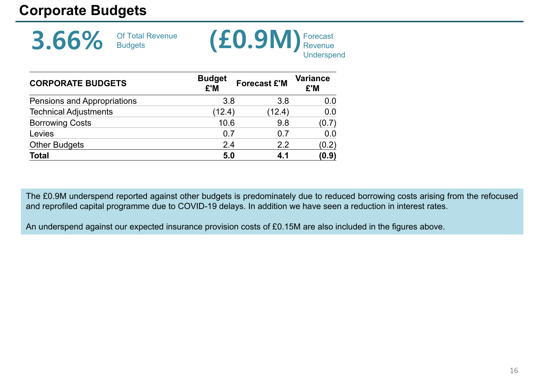# **Corporate Budgets**



| <b>CORPORATE BUDGETS</b>     | <b>Budget</b><br>£'M | <b>Forecast £'M</b> | <b>Variance</b><br>£'M |  |
|------------------------------|----------------------|---------------------|------------------------|--|
| Pensions and Appropriations  | 3.8                  | 3.8                 | 0.0                    |  |
| <b>Technical Adjustments</b> | (12.4)               | (12.4)              | 0.0                    |  |
| <b>Borrowing Costs</b>       | 10.6                 | 9.8                 | (0.7)                  |  |
| Levies                       | 0.7                  | 0.7                 | 0.0                    |  |
| <b>Other Budgets</b>         | 2.4                  | 2.2                 | (0.2)                  |  |
| <b>Total</b>                 | 5.0                  | 4.1                 | (0.9)                  |  |

The £0.9M underspend reported against other budgets is predominately due to reduced borrowing costs arising from the refocused and reprofiled capital programme due to COVID-19 delays. In addition we have seen <sup>a</sup> reduction in interest rates.

An underspend against our expected insurance provision costs of £0.15M are also included in the figures above.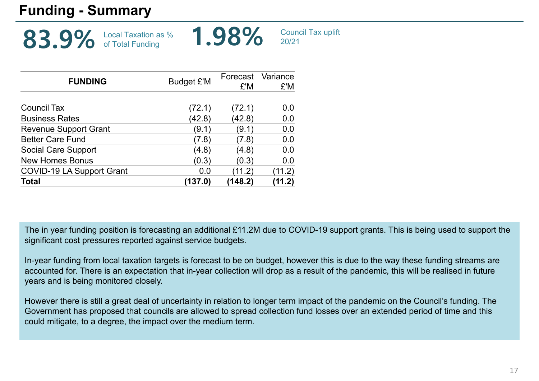# **Funding - Summary**

**83.9%** Local Taxation as % **1.98%** Council Tax uplift



|                                  |                   | Forecast          | Variance |
|----------------------------------|-------------------|-------------------|----------|
| <b>FUNDING</b>                   | <b>Budget £'M</b> | £'M               | £'M      |
|                                  |                   |                   |          |
| <b>Council Tax</b>               | (72.1)            | (72.1)            | 0.0      |
| <b>Business Rates</b>            | (42.8)            | (42.8)            | 0.0      |
| <b>Revenue Support Grant</b>     | (9.1)             | (9.1)             | 0.0      |
| <b>Better Care Fund</b>          | (7.8)             | (7.8)             | 0.0      |
| <b>Social Care Support</b>       | (4.8)             | (4.8)             | 0.0      |
| <b>New Homes Bonus</b>           | (0.3)             | (0.3)             | 0.0      |
| <b>COVID-19 LA Support Grant</b> | 0.0               | $^{\prime}$ 11.2) | (11.2)   |
| <b>Total</b>                     | (137.0)           | (148.2)           | (11.2)   |

The in year funding position is forecasting an additional £11.2M due to COVID-19 support grants. This is being used to support the significant cost pressures reported against service budgets.

In-year funding from local taxation targets is forecast to be on budget, however this is due to the way these funding streams are accounted for. There is an expectation that in-year collection will drop as a result of the pandemic, this will be realised in future years and is being monitored closely.

However there is still a great deal of uncertainty in relation to longer term impact of the pandemic on the Council's funding. The Government has proposed that councils are allowed to spread collection fund losses over an extended period of time and this could mitigate, to a degree, the impact over the medium term.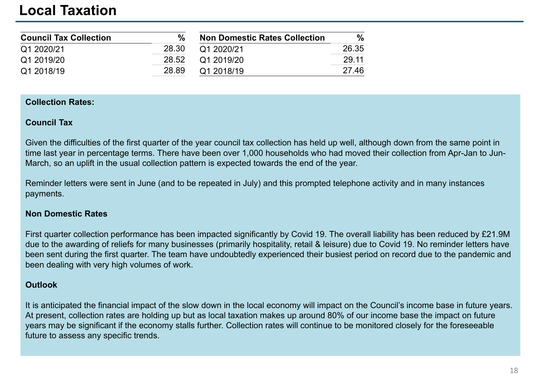# **Local Taxation**

| <b>Council Tax Collection</b> | $\frac{0}{0}$ | <b>Non Domestic Rates Collection</b> | $\frac{0}{0}$ |
|-------------------------------|---------------|--------------------------------------|---------------|
| Q1 2020/21                    | 28.30         | Q1 2020/21                           | 26.35         |
| Q1 2019/20                    | 28.52         | Q1 2019/20                           | 29.11         |
| Q1 2018/19                    | 28.89         | Q1 2018/19                           | 27.46         |

## **Collection Rates:**

## **Council Tax**

Given the difficulties of the first quarter of the year council tax collection has held up well, although down from the same point in time last year in percentage terms. There have been over 1,000 households who had moved their collection from Apr-Jan to Jun-March, so an uplift in the usual collection pattern is expected towards the end of the year.

Reminder letters were sent in June (and to be repeated in July) and this prompted telephone activity and in many instances payments.

## **Non Domestic Rates**

First quarter collection performance has been impacted significantly by Covid 19. The overall liability has been reduced by £21.9M due to the awarding of reliefs for many businesses (primarily hospitality, retail & leisure) due to Covid 19. No reminder letters have been sent during the first quarter. The team have undoubtedly experienced their busiest period on record due to the pandemic and been dealing with very high volumes of work.

## **Outlook**

It is anticipated the financial impact of the slow down in the local economy will impact on the Council's income base in future years. At present, collection rates are holding up but as local taxation makes up around 80% of our income base the impact on future years may be significant if the economy stalls further. Collection rates will continue to be monitored closely for the foreseeable future to assess any specific trends.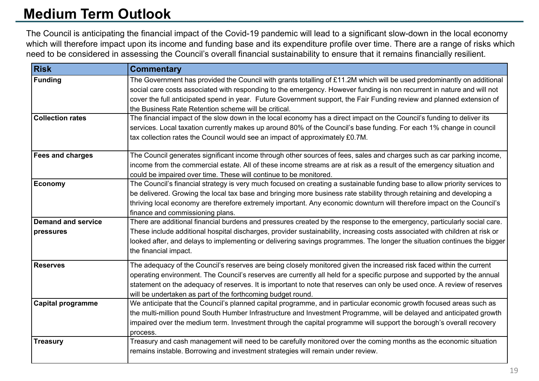# **Medium Term Outlook**

The Council is anticipating the financial impact of the Covid-19 pandemic will lead to a significant slow-down in the local economy which will therefore impact upon its income and funding base and its expenditure profile over time. There are a range of risks which need to be considered in assessing the Council's overall financial sustainability to ensure that it remains financially resilient.

| <b>Risk</b>                            | <b>Commentary</b>                                                                                                                                                                                                                                                                                                                                                                                                                          |
|----------------------------------------|--------------------------------------------------------------------------------------------------------------------------------------------------------------------------------------------------------------------------------------------------------------------------------------------------------------------------------------------------------------------------------------------------------------------------------------------|
| <b>Funding</b>                         | The Government has provided the Council with grants totalling of £11.2M which will be used predominantly on additional<br>social care costs associated with responding to the emergency. However funding is non recurrent in nature and will not<br>cover the full anticipated spend in year. Future Government support, the Fair Funding review and planned extension of<br>the Business Rate Retention scheme will be critical.          |
| <b>Collection rates</b>                | The financial impact of the slow down in the local economy has a direct impact on the Council's funding to deliver its<br>services. Local taxation currently makes up around 80% of the Council's base funding. For each 1% change in council<br>tax collection rates the Council would see an impact of approximately £0.7M.                                                                                                              |
| <b>Fees and charges</b>                | The Council generates significant income through other sources of fees, sales and charges such as car parking income,<br>income from the commercial estate. All of these income streams are at risk as a result of the emergency situation and<br>could be impaired over time. These will continue to be monitored.                                                                                                                        |
| <b>Economy</b>                         | The Council's financial strategy is very much focused on creating a sustainable funding base to allow priority services to<br>be delivered. Growing the local tax base and bringing more business rate stability through retaining and developing a<br>thriving local economy are therefore extremely important. Any economic downturn will therefore impact on the Council's<br>finance and commissioning plans.                          |
| <b>Demand and service</b><br>pressures | There are additional financial burdens and pressures created by the response to the emergency, particularly social care.<br>These include additional hospital discharges, provider sustainability, increasing costs associated with children at risk or<br>looked after, and delays to implementing or delivering savings programmes. The longer the situation continues the bigger<br>the financial impact.                               |
| <b>Reserves</b>                        | The adequacy of the Council's reserves are being closely monitored given the increased risk faced within the current<br>operating environment. The Council's reserves are currently all held for a specific purpose and supported by the annual<br>statement on the adequacy of reserves. It is important to note that reserves can only be used once. A review of reserves<br>will be undertaken as part of the forthcoming budget round. |
| <b>Capital programme</b>               | We anticipate that the Council's planned capital programme, and in particular economic growth focused areas such as<br>the multi-million pound South Humber Infrastructure and Investment Programme, will be delayed and anticipated growth<br>impaired over the medium term. Investment through the capital programme will support the borough's overall recovery<br>process.                                                             |
| <b>Treasury</b>                        | Treasury and cash management will need to be carefully monitored over the coming months as the economic situation<br>remains instable. Borrowing and investment strategies will remain under review.                                                                                                                                                                                                                                       |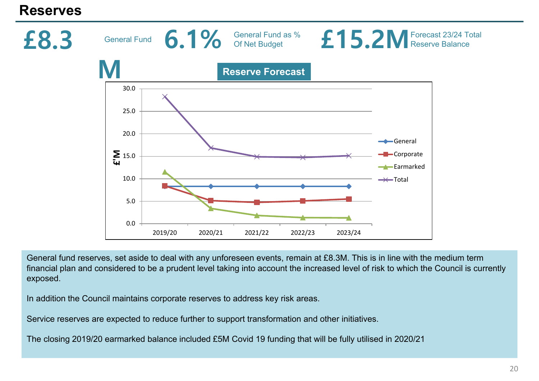# **Reserves**



General fund reserves, set aside to deal with any unforeseen events, remain at £8.3M. This is in line with the medium term financial plan and considered to be a prudent level taking into account the increased level of risk to which the Council is currently exposed.

In addition the Council maintains corporate reserves to address key risk areas.

Service reserves are expected to reduce further to support transformation and other initiatives.

The closing 2019/20 earmarked balance included £5M Covid 19 funding that will be fully utilised in 2020/21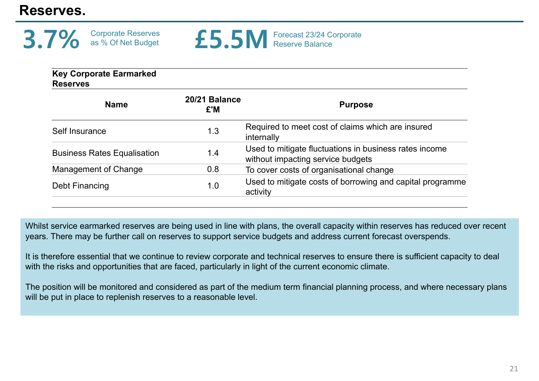# **Reserves.**



| <b>Key Corporate Earmarked</b><br><b>Reserves</b> |                      |                                                                                             |
|---------------------------------------------------|----------------------|---------------------------------------------------------------------------------------------|
| <b>Name</b>                                       | 20/21 Balance<br>£'M | <b>Purpose</b>                                                                              |
| Self Insurance                                    | 1.3                  | Required to meet cost of claims which are insured<br>internally                             |
| <b>Business Rates Equalisation</b>                | 1.4                  | Used to mitigate fluctuations in business rates income<br>without impacting service budgets |
| Management of Change                              | 0.8                  | To cover costs of organisational change                                                     |
| Debt Financing                                    | 1.0                  | Used to mitigate costs of borrowing and capital programme<br>activity                       |

Whilst service earmarked reserves are being used in line with plans, the overall capacity within reserves has reduced over recent years. There may be further call on reserves to support service budgets and address current forecast overspends.

It is therefore essential that we continue to review corporate and technical reserves to ensure there is sufficient capacity to deal with the risks and opportunities that are faced, particularly in light of the current economic climate.

The position will be monitored and considered as part of the medium term financial planning process, and where necessary plans will be put in place to replenish reserves to a reasonable level.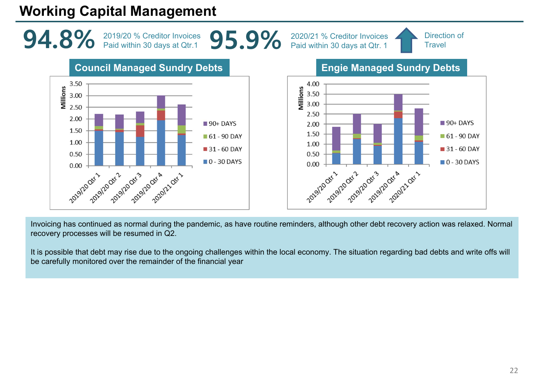# **Working Capital Management**



**95.9%** <sup>2020/21 % Creditor Invoices **Direction of Direction of Paid within 30 days at Qtr. 1 Travel**</sup>



4.00 Villions 3.50 3.00 2.50  $90+$  DAYS 2.00 1.50 61 - 90 DAY 1.00 31 - 60 DAY 0.50  $\blacksquare$  0 - 30 DAYS 0.00 2019/2021/2021/2021/2021/2021/2021/2021

Invoicing has continued as normal during the pandemic, as have routine reminders, although other debt recovery action was relaxed. Normal recovery processes will be resumed in Q2.

It is possible that debt may rise due to the ongoing challenges within the local economy. The situation regarding bad debts and write offs will be carefully monitored over the remainder of the financial year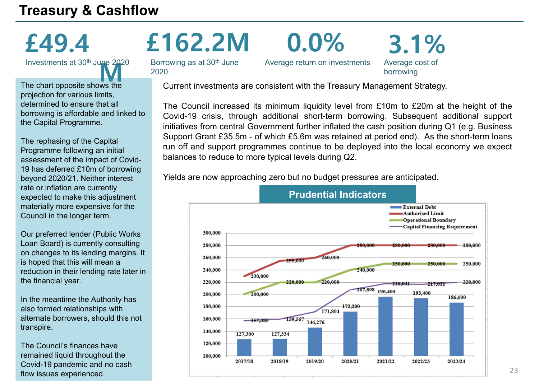# **Treasury & Cashflow**

# **£49.4**

**Investments at 30<sup>th</sup> June 2020** 

The chart opposite shows the projection for various limits, determined to ensure that all borrowing is affordable and linked to the Capital Programme.

The rephasing of the Capital Programme following an initial assessment of the impact of Covid-19 has deferred £10m of borrowing beyond 2020/21. Neither interest rate or inflation are currently expected to make this adjustment materially more expensive for the Council in the longer term.

Our preferred lender (Public Works Loan Board) is currently consulting on changes to its lending margins. It is hoped that this will mean a reduction in their lending rate later in the financial year.

In the meantime the Authority has also formed relationships with alternate borrowers, should this not transpire.

The Council's finances have remained liquid throughout the Covid-19 pandemic and no cash flow issues experienced.

# **£162.2M**

Borrowing as at 30th June 2020

Average return on investments

**0.0%**

**3.1%**Average cost of borrowing

Current investments are consistent with the Treasury Management Strategy.

The Council increased its minimum liquidity level from £10m to £20m at the height of the Covid-19 crisis, through additional short-term borrowing. Subsequent additional support initiatives from central Government further inflated the cash position during Q1 (e.g. Business Support Grant £35.5m - of which £5.6m was retained at period end). As the short-term loans run off and support programmes continue to be deployed into the local economy we expect balances to reduce to more typical levels during Q2.

Yields are now approaching zero but no budget pressures are anticipated.

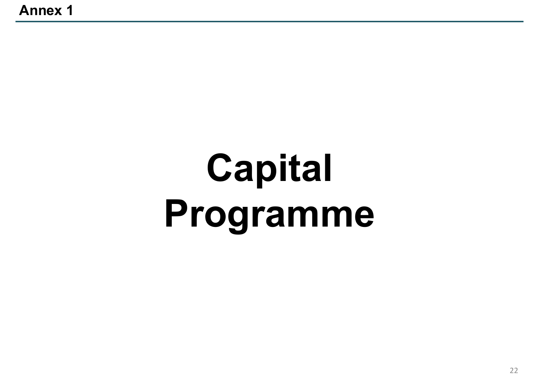# **Capital Programme**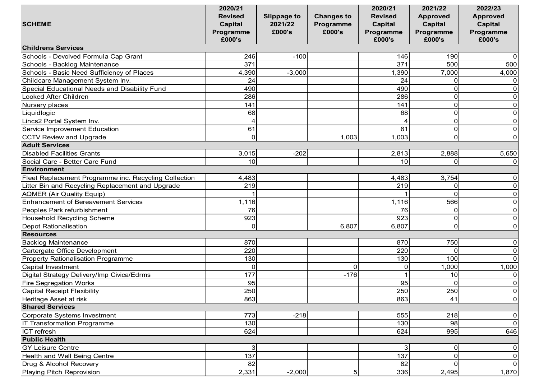|                                                       | 2020/21        |                    |                   | 2020/21        | 2021/22         | 2022/23         |
|-------------------------------------------------------|----------------|--------------------|-------------------|----------------|-----------------|-----------------|
|                                                       | <b>Revised</b> | <b>Slippage to</b> | <b>Changes to</b> | <b>Revised</b> | <b>Approved</b> | <b>Approved</b> |
| <b>SCHEME</b>                                         | Capital        | 2021/22            | Programme         | Capital        | Capital         | <b>Capital</b>  |
|                                                       | Programme      | £000's             | £000's            | Programme      | Programme       | Programme       |
|                                                       | £000's         |                    |                   | £000's         | £000's          | £000's          |
| <b>Childrens Services</b>                             |                |                    |                   |                |                 |                 |
| Schools - Devolved Formula Cap Grant                  | 246            | $-100$             |                   | 146            | 190             | $\Omega$        |
| Schools - Backlog Maintenance                         | 371            |                    |                   | 371            | 500             | 500             |
| Schools - Basic Need Sufficiency of Places            | 4,390          | $-3,000$           |                   | 1,390          | 7,000           | 4,000           |
| Childcare Management System Inv.                      | 24             |                    |                   | 24             | $\overline{0}$  | <sup>O</sup>    |
| Special Educational Needs and Disability Fund         | 490            |                    |                   | 490            | $\Omega$        | $\mathbf 0$     |
| Looked After Children                                 | 286            |                    |                   | 286            | $\Omega$        | $\mathbf 0$     |
| Nursery places                                        | 141            |                    |                   | 141            | $\overline{O}$  | $\Omega$        |
| Liquidlogic                                           | 68             |                    |                   | 68             | $\overline{O}$  | $\overline{0}$  |
| Lincs2 Portal System Inv.                             | 4              |                    |                   |                | $\overline{0}$  | $\overline{0}$  |
| Service Improvement Education                         | 61             |                    |                   | 61             | $\overline{O}$  | $\overline{0}$  |
| <b>CCTV Review and Upgrade</b>                        | $\Omega$       |                    | 1,003             | 1,003          | $\Omega$        | $\overline{O}$  |
| <b>Adult Services</b>                                 |                |                    |                   |                |                 |                 |
| <b>Disabled Facilities Grants</b>                     | 3,015          | $-202$             |                   | 2,813          | 2,888           | 5,650           |
| Social Care - Better Care Fund                        | 10             |                    |                   | 10             | $\Omega$        | $\Omega$        |
| <b>Environment</b>                                    |                |                    |                   |                |                 |                 |
| Fleet Replacement Programme inc. Recycling Collection | 4,483          |                    |                   | 4,483          | 3,754           | $\Omega$        |
| Litter Bin and Recycling Replacement and Upgrade      | 219            |                    |                   | 219            | $\Omega$        | $\overline{0}$  |
| <b>AQMER (Air Quality Equip)</b>                      |                |                    |                   |                | $\Omega$        | $\overline{0}$  |
| <b>Enhancement of Bereavement Services</b>            | 1,116          |                    |                   | 1,116          | 566             | $\overline{0}$  |
| Peoples Park refurbishment                            | 76             |                    |                   | 76             | $\Omega$        | $\Omega$        |
| <b>Household Recycling Scheme</b>                     | 923            |                    |                   | 923            | $\mathbf 0$     | $\overline{0}$  |
| <b>Depot Rationalisation</b>                          | $\overline{0}$ |                    | 6,807             | 6,807          | $\overline{0}$  | $\Omega$        |
| <b>Resources</b>                                      |                |                    |                   |                |                 |                 |
| <b>Backlog Maintenance</b>                            | 870            |                    |                   | 870            | 750             | $\overline{0}$  |
| Cartergate Office Development                         | 220            |                    |                   | 220            | $\Omega$        | $\mathbf 0$     |
| Property Rationalisation Programme                    | 130            |                    |                   | 130            | 100             | $\Omega$        |
| <b>Capital Investment</b>                             | $\Omega$       |                    | $\Omega$          | $\Omega$       | 1,000           | 1,000           |
| Digital Strategy Delivery/Imp Civica/Edrms            | 177            |                    | $-176$            |                | 10              | $\overline{0}$  |
| <b>Fire Segregation Works</b>                         | 95             |                    |                   | 95             | $\Omega$        | $\mathbf 0$     |
| Capital Receipt Flexibility                           | 250            |                    |                   | 250            | 250             | $\overline{0}$  |
| Heritage Asset at risk                                | 863            |                    |                   | 863            | 41              | $\overline{O}$  |
| <b>Shared Services</b>                                |                |                    |                   |                |                 |                 |
| Corporate Systems Investment                          | 773            | $-218$             |                   | 555            | 218             | $\overline{0}$  |
| <b>IT Transformation Programme</b>                    | 130            |                    |                   | 130            | 98              | $\overline{0}$  |
| ICT refresh                                           | 624            |                    |                   | 624            | 995             | 646             |
| <b>Public Health</b>                                  |                |                    |                   |                |                 |                 |
| <b>GY Leisure Centre</b>                              | 3              |                    |                   | $\mathbf{3}$   | $\overline{O}$  | $\overline{O}$  |
| Health and Well Being Centre                          | 137            |                    |                   | 137            | $\overline{O}$  | $\overline{O}$  |
| Drug & Alcohol Recovery                               | 82             |                    |                   | 82             | $\overline{0}$  | $\overline{0}$  |
| Playing Pitch Reprovision                             | 2,331          | $-2,000$           | 5 <sub>l</sub>    | 336            | 2,495           | 1,870           |